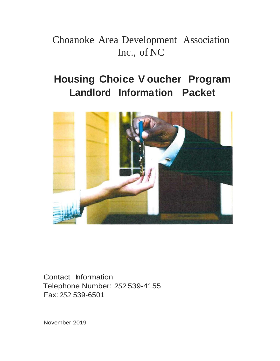# Choanoke Area Development Association Inc., of NC

# **Housing Choice V oucher Program Landlord Information Packet**



Contact Information Telephone Number: *252* 539-4155 Fax: *252* 539-6501

November 2019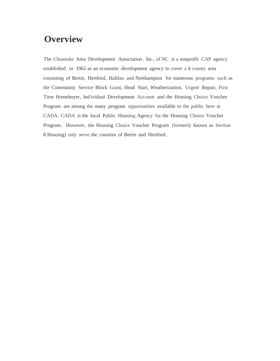## **Overview**

The Choanoke Area Development Association , Inc., of NC is a nonprofit CAP agency established in 1962 as an economic development agency to cover a 4 county area consisting of Bertie, Hertford, Halifax and Northampton for numerous programs such as the Community Service Block Grant, Head Start, Weatherization, Urgent Repair, First Time Homebuyer, Ind ividual Development Account and the Housing Choice Voucher Program are among the many program opportunities available to the public here at CADA. CADA is the local Public Housing Agency for the Housing Choice Voucher Program. However, the Housing Choice Voucher Program (formerly known as Section 8 Housing) only serve the counties of Bertie and Hertford.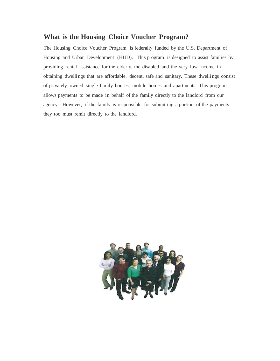### **What is the Housing Choice Voucher Program?**

The Housing Choice Voucher Program is federally funded by the U.S. Department of Housing and Urban Development (HUD). This program is designed to assist families by providing rental assistance for the elderly, the disabled and the very low-income in obtaining dwellings that are affordable, decent, safe and sanitary. These dwelli ngs consist of privately owned single family houses, mobile homes and apartments. This program allows payments to be made in behalf of the family directly to the landlord from our agency. However, if the family is responsi ble for submitting a portion of the payments they too must remit directly to the landlord.

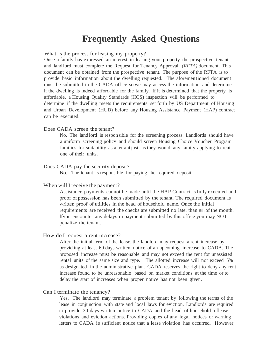## **Frequently Asked Questions**

What is the process for leasing my property?

Once a family has expressed an interest in leasing your property the prospective tenant and land lord must complete the Request for Tenancy Approval *(RFTA)* document. This document can be obtained from the prospective tenant. The purpose of the RFTA is to provide basic information about the dwelling requested. The aforementioned document must be submitted to the CADA office so we may access the information and determine if the dwelling is indeed affordable for the family. If it is determined that the property is affordable, a Housing Quality Standards (HQS) inspection will be performed to determine if the dwelling meets the requirements set forth by US Department of Housing and Urban Development (HUD) before any Housing Assistance Payment (HAP) contract can be executed.

#### Does CADA screen the tenant?

No. The land lord is responsible for the screening process. Landlords should have a uniform screening policy and should screen Housing Choice Voucher Program families for suitability as a tenant just as they would any family applying to rent one of their units.

#### Does CADA pay the security deposit?

No. The tenant is responsible for paying the required deposit.

#### When will I receive the payment?

Assistance payments cannot be made until the HAP Contract is fully executed and proof of possession has been submitted by the tenant. The required document is written proof of utilities in the head of household name. Once the initial requirements are received the checks are submitted no later than 5th of the month. lfyou encounter any delays in payment submitted by this office you may NOT penalize the tenant.

#### How do I request a rent increase?

After the initial term of the lease, the landlord may request a rent increase by provid ing at least 60 days written notice of an upcoming increase to CADA. The proposed increase must be reasonable and may not exceed the rent for unassisted rental units of the same size and type. The allotted increase will not exceed 5% as designated in the administrative plan. CADA reserves the right to deny any rent increase found to be unreasonable based on market conditions at the time or to delay the start of increases when proper notice has not been given.

#### Can I terminate the tenancy?

Yes. The landlord may terminate a problem tenant by following the terms of the lease in conjunction with state and local laws for eviction. Landlords are required to provide 30 days written notice to CADA and the head of household oflease violations and eviction actions. Providing copies of any legal notices or warning letters to CADA is sufficient notice that a lease violation has occurred. However,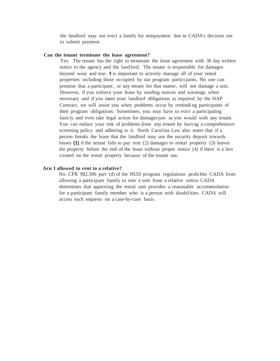the landlord may *not* evict a family for nonpayment due to CADA's decision not to submit payment.

#### **Can the tenant terminate the lease agreement?**

Yes. The tenant has the right to terminate the lease agreement with 30 day written notice to the agency and the land lord. The tenant is responsible for damages beyond wear and tear. It is important to actively manage all of your rental properties including those occupied by our program partici pants. No one can promise that a participant , or any tenant for that matter, will not damage a unit. However, if you enforce your lease by sending notices and warnings when necessary and if you meet your landlord obligations as required by the HAP Contract, we will assist you when problems occur by remindi ng participants of their program obligations. Sometimes, you may have to evict a participating fami ly and even take legal action for damages just as you would with any tenant. You can reduce your risk of problems.from *any tenant* by havi ng a comprehensive screening policy and adhering to it. North Carolina Law also states that if a person breaks the lease that the landlord may use the security deposit towards losses **(1)** if the tenant fails to pay rent (2) damages to rental property (3) leaves the property before the end of the lease without proper notice (4) if there is a lien created on the rental property because of the tenant use.

#### **Arn I allowed to rent to a relative?**

No. CFR 982.306 part (d) of the HUD program regulations prohi bits CADA from allowing a participant family to rent a unit from a relative *unless* CADA determines that approving the rental unit provides a reasonable accommodation for a participant family member who is a person with disabilities. CADA will access each requests on a case-by-case basis.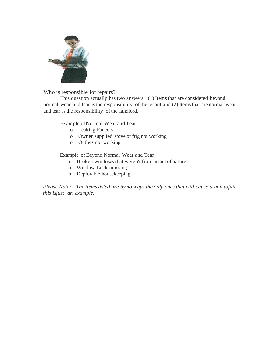

Who is responsible for repairs?

This question actually has two answers. (1) Items that are considered beyond normal wear and tear is the responsibility of the tenant and (2) Items that are normal wear and tear isthe responsibility of the landlord.

Example ofNormal Wear and Tear

- o Leaking Faucets
- o Owner supplied stove or frig not working
- o Outlets not working

Example of Beyond Normal Wear and Tear

- o Broken windows that weren't from an act of nature
- o Window Locks missing
- o Deplorable housekeeping

*Please Note: The items listed are by no ways the only ones that will cause a unit tofail this isjust an example.*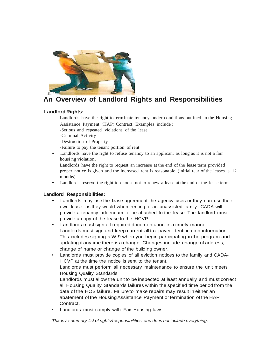

### **An Overview of Landlord Rights and Responsibilities**

#### **Landlord Rights:**

Landlords have the right to terminate tenancy under conditions outlined in the Housing Assistance Payment (HAP) Contract. Examples include :

-Serious and repeated violations of the lease

-Criminal Activity

-Destruction of Property

-Failure to pay the tenant portion of rent

Landlords have the right to refuse tenancy to an applicant as long as it is not a fair housi ng violation .

Landlords have the right to request an increase at the end of the lease term provided proper notice is given and the increased rent is reasonable. (initial tear of the leases is 12 months)

Landlords reserve the right to choose not to renew a lease at the end of the lease term.

#### **Landlord Responsibilities:**

- Landlords may use the lease agreement the agency uses or they can use their own lease, as they would when renting to an unassisted family. CADA will provide a tenancy addendum to be attached to the lease. The landlord must provide a copy of the lease to the HCVP.
- Landlords must sign all required documentation in a timely manner. Landlords must sign and keep current all tax payer identification information. This includes signing a W-9 when you begin participating inthe program and updating itanytime there isa change. Changes include: change of address, change of name or change of the building owner.
- Landlords must provide copies of all eviction notices to the family and CADA-HCVP at the time the notice is sent to the tenant. Landlords must perform all necessary maintenance to ensure the unit meets

Housing Quality Standards.

Landlords must allow the unit to be inspected at least annually and must correct all Housing Quality Standards failures within the specified time period from the date of the HOS failure. Failure to make repairs may result in either an abatement of the HousingAssistance Payment or termination of the HAP Contract.

Landlords must comply with Fair Housing laws.

*Thisis* a *summary list of rights/responsibilities and does not include everything.*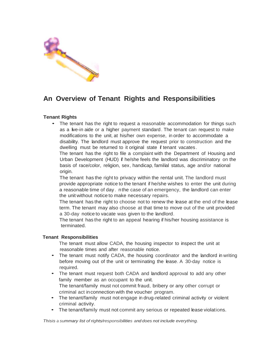

### **An Overview of Tenant Rights and Responsibilities**

#### **Tenant Rights**

• The tenant has the right to request a reasonable accommodation for things such as a live-in aide or a higher payment standard. The tenant can request to make modifications to the unit, at his/her own expense, in order to accommodate a disability. The landlord must approve the request prior to construction and the dwelling must be returned to it original state if tenant vacates.

The tenant has the right to file a complaint with the Department of Housing and Urban Development (HUD) if he/she feels the landlord was discriminatory on the basis of race/color, religion, sex, handicap, familial status, age and/or national origin.

The tenant has the right to privacy within the rental unit. The landlord must provide appropriate notice to the tenant if he/she wishes to enter the unit during a reasonable time of day. nthe case of an emergency, the landlord can enter the unit without notice to make necessary repairs.

The tenant has the right to choose not to renew the lease at the end of the lease term. The tenant may also choose at that time to move out of the unit provided a 30-day notice to vacate was given to the landlord.

The tenant has the right to an appeal hearing if his/her housing assistance is terminated.

#### **Tenant Responsibilities**

The tenant must allow CADA, the housing inspector to inspect the unit at reasonable times and after reasonable notice.

- The tenant must notify CADA, the housing coordinator and the landlord in writing before moving out of the unit or terminating the lease. A 30-day notice is required.
- The tenant must request both CADA and landlord approval to add any other family member as an occupant to the unit. The tenant/family must not commit fraud, bribery or any other corrupt or criminal act inconnection with the voucher program.
- The tenant/family must not engage in drug-related criminal activity or violent criminal activity.
- The tenant/family must not commit any serious or repeated lease violations.

*Thisis* a *summary list of rights/responsibilities and does not include everything.*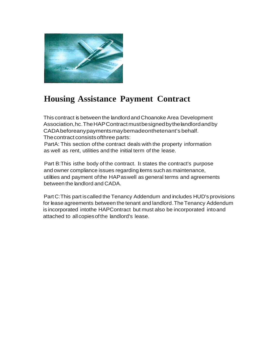

# **Housing Assistance Payment Contract**

This contract is between the landlord and Choanoke Area Development Association,hc.TheHAPContractmustbesignedbythelandlordandby CADAbeforeanypaymentsmaybemadeonthetenant's behalf. Thecontract consistsofthree parts:

PartA: This section ofthe contract deals with the property information as well as rent, utilities and the initial term of the lease.

Part B:This isthe body of the contract. It states the contract's purpose and owner compliance issues regarding items such as maintenance, utilities and payment ofthe HAPaswell as general terms and agreements between the landlord and CADA.

Part C:This part iscalled the Tenancy Addendum and includes HUD's provisions for lease agreements between the tenant and landlord. The Tenancy Addendum is incorporated intothe HAPContract but must also be incorporated intoand attached to allcopiesofthe landlord's lease.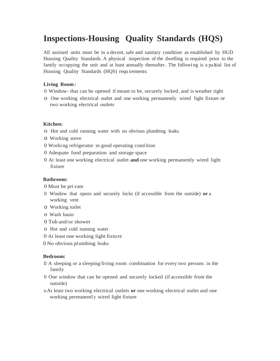# **Inspections-Housing Quality Standards (HQS)**

All assisted units must be in a decent, safe and sanitary condition as established by HUD Housing Quality Standards. A physical inspection of the dwelling is required prior to the family occupying the unit and at least annually thereafter. The following is a paltial list of Housing Quality Standards (HQS) requ irements:

#### **Living Room:**

- 0 Window- that can be opened if meant to be, securely locked, and is weather tight
- o One working electrical outlet and one working permanently wired light fixture or two working electrical outlets

#### **Kitchen:**

- o Hot and cold running water with no obvious plumbing leaks
- o Working stove
- 0 Worki ng refrigerator in good operating cond ition
- 0 Adequate food preparation and storage space
- 0 At least one working electrical outlet **and** one working permanently wired light fixture

#### **Bathroom:**

- 0 Must be pri vate
- 0 Window that opens and securely locks (if accessible from the outside) **or** a working vent
- o Working toilet
- o Wash basin
- 0 Tub and/or shower
- o Hot and cold running water
- 0 At least one working light fixture
- 0 No obvious plumbing leaks

#### **Bedroom:**

- 0 A sleeping or a sleeping/living room combination for every two persons in the family
- 0 One window that can be opened and securely locked (if accessible from the outside)
- oAt least two working electrical outlets **or** one working electrical outlet and one working permanently wired light fixture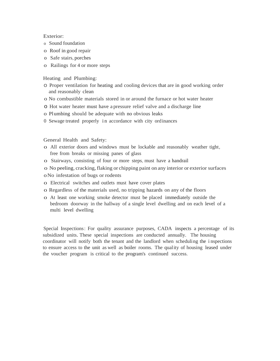#### Exterior:

- o Sound foundation
- o Roof in good repair
- o Safe stairs, porches
- o Railings for 4 or more steps

#### Heating and Plumbing:

- O Proper ventilation for heating and cooling devices that are in good working order and reasonably clean
- o No combustible materials stored in or around the furnace or hot water heater
- o Hot water heater must have a pressure relief valve and a discharge line
- o Plumbing should be adequate with no obvious leaks
- 0 Sewage treated properly in accordance with city ordinances

General Health and Safety:

- o All exterior doors and windows must be lockable and reasonably weather tight, free from breaks or missing panes of glass
- o Stairways, consisting of four or more steps, must have a handrail
- o No peeling, cracking,flaking or chipping paint on any interior or exterior surfaces
- oNo infestation of bugs or rodents
- o Electrical switches and outlets must have cover plates
- o Regardless of the materials used, no tripping hazards on any of the floors
- o At least one working smoke detector must be placed immediately outside the bedroom doorway in the hallway of a single level dwelling and on each level of a multi level dwelling

Special Inspections: For quality assurance purposes, CADA inspects a percentage of its subsidized units. These special inspections are conducted annually. The housing coordinator will notify both the tenant and the landlord when scheduling the i nspections to ensure access to the unit as well as boiler rooms. The quality of housing leased under the voucher program is critical to the program's continued success.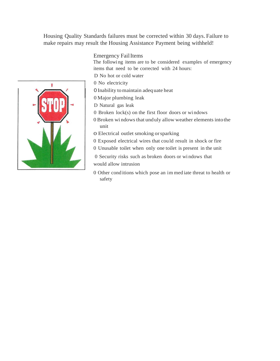Housing Quality Standards failures must be corrected within 30 days. Failure to make repairs may result the Housing Assistance Payment being withheld!

Emergency Fail Items

The followi ng items are to be considered examples of emergency items that need to be corrected with 24 hours:

- D No hot or cold water
- 0 No electricity
- 0Inability tomaintain adequate heat
- 0 Major plumbing leak
- D Natural gas leak
- 0 Broken lock(s) on the first floor doors or wi ndows
- 0 Broken windows that unduly allow weather elements into the unit
- o Electrical outlet smoking orsparking
- 0 Exposed electrical wires that could result in shock or fire
- 0 Unusable toilet when only one toilet is present in the unit
- 0 Security risks such as broken doors or wi ndows that would allow intrusion
- 0 Other cond itions which pose an im med iate threat to health or safety

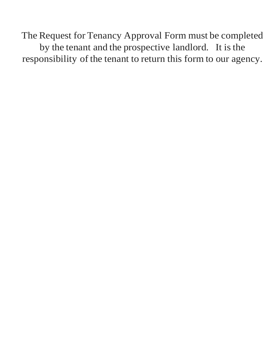The Request for Tenancy Approval Form must be completed by the tenant and the prospective landlord. It is the responsibility of the tenant to return this form to our agency.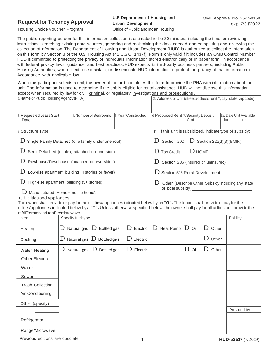#### **Request for Tenancy Approval**

### **U.S Department of Housing and Urban Development**

Housing Choice Voucher Program

Office of Public and Indian Housing

The public reporting burden for this information collection is estimated to be 30 minutes, including the time for reviewing instructions, searching existing data sources, gathering and maintaining the data needed, and completing and reviewing the collection of information. The Department of Housing and Urban Development (HUD) is authorized to collect the information on this form by Section 8 of the U.S. Housing Act (42 U.S.C. 1437f). Form is only valid if it includes an OMB Control Number. HUD is committed to protecting the privacy of individuals' information stored electronically or in paper form, in accordance with federal privacy laws, guidance, and best practices. HUD expects its third-party business partners, including Public Housing Authorities, who collect, use maintain, or disseminate HUD information to protect the privacy of that information in Accordance with applicable law.

When the participant selects a unit, the owner of the unit completes this form to provide the PHA with information about the unit. The information is used to determine if the unit is eligible for rental assistance.HUD will not disclose this information except when required by law for civil, criminal, or regulatory investigations and prosecutions. 1. Name *of* Public HousingAgency(PHA) 2. Address of Unit(street address, unit #, city, state, zip code)

| 3. Requested Lease Start<br>Date                                                          | 4. Number of Bedrooms | 5. Year Constructed                                         | 6. Proposed Rent 7. Security Deposit                      | Amt | 13. Date Unit Available<br>for Inspection |
|-------------------------------------------------------------------------------------------|-----------------------|-------------------------------------------------------------|-----------------------------------------------------------|-----|-------------------------------------------|
| 9. Structure Type                                                                         |                       |                                                             | 10. If this unit is subsidized, indicate type of subsidy: |     |                                           |
| $D$ Single Family Detached (one family under one roof)                                    |                       | $\mathbf D$ Section 202 $\mathbf D$ Section 221(d)(3)(BMIR) |                                                           |     |                                           |
| $D$ Semi-Detached (duplex, attached on one side)                                          |                       |                                                             | $\mathbf D$ Tax Credit<br>$\bigcup$ HOME                  |     |                                           |
| Rowhouse/Townhouse (attached on two sides)                                                |                       |                                                             | Section 236 (insured or uninsured)                        |     |                                           |
| Low-rise apartment building (4 stories or fewer)                                          |                       |                                                             | $D$ Section 515 Rural Development                         |     |                                           |
| High-rise apartment building (5+ stories)                                                 |                       | Other (Describe Other Subsidy, including any state          |                                                           |     |                                           |
| Manufactured Home <mobile home\<="" td=""><td colspan="3">or local subsidy)</td></mobile> |                       |                                                             | or local subsidy)                                         |     |                                           |

#### 11. UtilitiesandAppliances

The owner shall provide or pay for the utilities/appliances indicated below by an **"O".**The tenant shall provide or pay for the utilities/appliances indicated below by a **"T".** Unless otherwise specified below, the owner shall pay for all utilities and provide the

| refriE!erator and ranE!e/microwave. |                                                                         |                                                            |             |
|-------------------------------------|-------------------------------------------------------------------------|------------------------------------------------------------|-------------|
| Item                                | Specify fuel type                                                       |                                                            | Paidby      |
| Heating                             | Natural gas $\,$ D Bottled gas<br>D                                     | $D$ Electric $D$<br>Heat Pump $\mathbf D$ Oil<br>$D$ Other |             |
| Cooking                             | $\overline{\mathrm{D}}$ Natural gas $\overline{\mathrm{D}}$ Bottled gas | D Other<br>$D$ Electric                                    |             |
| Water Heating                       | Natural gas $\,$ D Bottled gas<br>D                                     | D<br>D<br>Other<br>D<br>Electric<br>Oil                    |             |
| <b>Other Electric</b>               |                                                                         |                                                            |             |
| Water                               |                                                                         |                                                            |             |
| Sewer                               |                                                                         |                                                            |             |
| <b>Trash Collection</b>             |                                                                         |                                                            |             |
| Air Conditioning                    |                                                                         |                                                            |             |
| Other (specify)                     |                                                                         |                                                            |             |
|                                     |                                                                         |                                                            | Provided by |
| Refrigerator                        |                                                                         |                                                            |             |
| Range/Microwave                     |                                                                         |                                                            |             |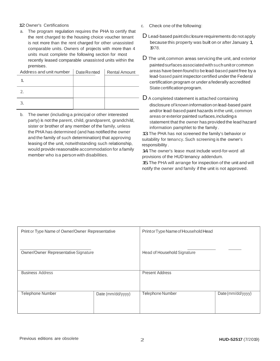#### 12.Owner's Certifications

a. The program regulation requires the PHA to certify that the rent charged to the housing choice voucher tenant is not more than the rent charged for other unassisted comparable units. Owners of projects with more than 4 units must complete the following section for most recently leased comparable unassisted units within the premises.

| Address and unit number | <b>DateRented</b> | <b>Rental Amount</b> |
|-------------------------|-------------------|----------------------|
|                         |                   |                      |
|                         |                   |                      |
|                         |                   |                      |

b. The owner (including a principal or other interested party) is not the parent, child, grandparent, grandchild, sister or brother of any member of the family, unless the PHA has determined (and has notified the owner and the family of such determination) that approving leasing of the unit, notwithstanding such relationship, would provide reasonable accommodation for a family member who isa person with disabilities.

- c. Check one of the following:
- D Lead-based paint disclosure requirements do not apply because this property was built on or after January 1, 1978.
- D The unit,common areas servicing the unit, and exterior paintedsurfaces associatedwithsuchunitorcommon areas have been found to be lead-based paint free by a lead-based paint inspector certified underthe Federal certification program or under afederally accredited State certification program.

 $D$  A completed statement is attached containing disclosure of known information on lead-based paint and/or lead-based paint hazards inthe unit, common areas or exterior painted surfaces,includinga statement that the owner has provided the lead hazard information pamphlet to the family .

13 The PHA has not screened the family's behavior or suitability for tenancy. Such screening is the owner's responsibility .

14 The owner's lease must include word-for-word all provisions of the HUD tenancy addendum. 15.The PHA will arrange for inspection of the unit and will notify the owner and family if the unit is not approved.

| Print or Type Name of Owner/Owner Representative |                   | Printor Type Name of Household Head |                   |  |
|--------------------------------------------------|-------------------|-------------------------------------|-------------------|--|
| Owner/Owner Representative Signature             |                   | Head of Household Signature         |                   |  |
| <b>Business Address</b>                          |                   | <b>Present Address</b>              |                   |  |
| Telephone Number                                 | Date (mm/dd/yyyy) | Telephone Number                    | Date (mm/dd/yyyy) |  |